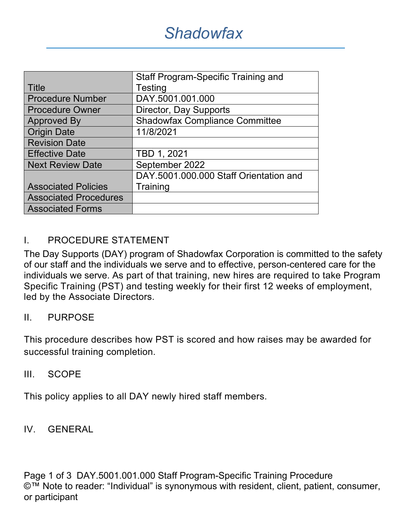|                              | <b>Staff Program-Specific Training and</b> |  |  |
|------------------------------|--------------------------------------------|--|--|
| Title                        | Testing                                    |  |  |
| <b>Procedure Number</b>      | DAY.5001.001.000                           |  |  |
| <b>Procedure Owner</b>       | Director, Day Supports                     |  |  |
| <b>Approved By</b>           | <b>Shadowfax Compliance Committee</b>      |  |  |
| <b>Origin Date</b>           | 11/8/2021                                  |  |  |
| <b>Revision Date</b>         |                                            |  |  |
| <b>Effective Date</b>        | TBD 1, 2021                                |  |  |
| <b>Next Review Date</b>      | September 2022                             |  |  |
|                              | DAY.5001.000.000 Staff Orientation and     |  |  |
| <b>Associated Policies</b>   | Training                                   |  |  |
| <b>Associated Procedures</b> |                                            |  |  |
| <b>Associated Forms</b>      |                                            |  |  |

## I. PROCEDURE STATEMENT

The Day Supports (DAY) program of Shadowfax Corporation is committed to the safety of our staff and the individuals we serve and to effective, person-centered care for the individuals we serve. As part of that training, new hires are required to take Program Specific Training (PST) and testing weekly for their first 12 weeks of employment, led by the Associate Directors.

### II. PURPOSE

This procedure describes how PST is scored and how raises may be awarded for successful training completion.

### III. SCOPE

This policy applies to all DAY newly hired staff members.

### IV. GENERAL

Page 1 of 3 DAY.5001.001.000 Staff Program-Specific Training Procedure ©™ Note to reader: "Individual" is synonymous with resident, client, patient, consumer, or participant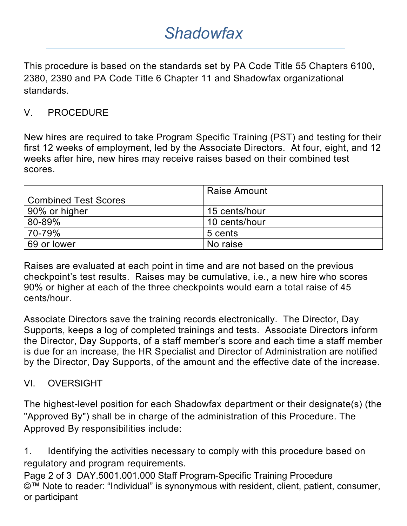## *Shadowfax*

This procedure is based on the standards set by PA Code Title 55 Chapters 6100, 2380, 2390 and PA Code Title 6 Chapter 11 and Shadowfax organizational standards.

## V. PROCEDURE

New hires are required to take Program Specific Training (PST) and testing for their first 12 weeks of employment, led by the Associate Directors. At four, eight, and 12 weeks after hire, new hires may receive raises based on their combined test scores.

| <b>Combined Test Scores</b> | <b>Raise Amount</b> |
|-----------------------------|---------------------|
| 90% or higher               | 15 cents/hour       |
| 80-89%                      | 10 cents/hour       |
| 70-79%                      | 5 cents             |
| 69 or lower                 | No raise            |

Raises are evaluated at each point in time and are not based on the previous checkpoint's test results. Raises may be cumulative, i.e., a new hire who scores 90% or higher at each of the three checkpoints would earn a total raise of 45 cents/hour.

Associate Directors save the training records electronically. The Director, Day Supports, keeps a log of completed trainings and tests. Associate Directors inform the Director, Day Supports, of a staff member's score and each time a staff member is due for an increase, the HR Specialist and Director of Administration are notified by the Director, Day Supports, of the amount and the effective date of the increase.

## VI. OVERSIGHT

The highest-level position for each Shadowfax department or their designate(s) (the "Approved By") shall be in charge of the administration of this Procedure. The Approved By responsibilities include:

1. Identifying the activities necessary to comply with this procedure based on regulatory and program requirements.

Page 2 of 3 DAY.5001.001.000 Staff Program-Specific Training Procedure ©™ Note to reader: "Individual" is synonymous with resident, client, patient, consumer, or participant